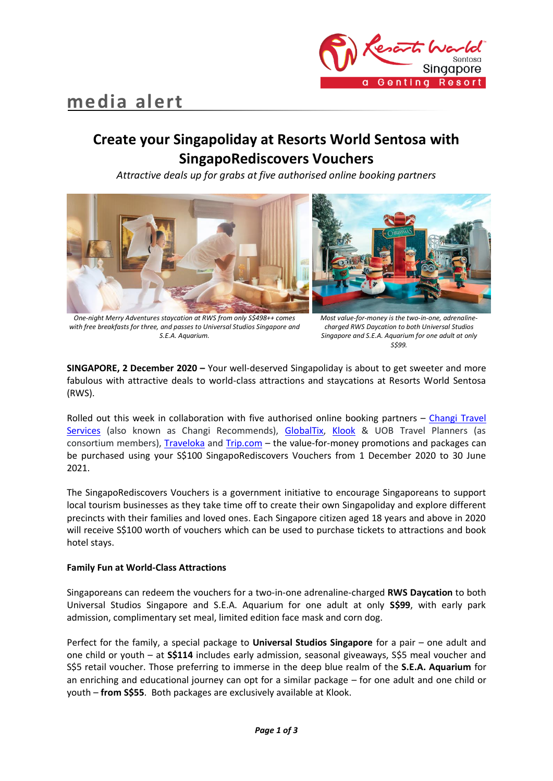



# **Create your Singapoliday at Resorts World Sentosa with SingapoRediscovers Vouchers**

*Attractive deals up for grabs at five authorised online booking partners* 



*One-night Merry Adventures staycation at RWS from only S\$498++ comes with free breakfasts for three, and passes to Universal Studios Singapore and S.E.A. Aquarium.*

*Most value-for-money is the two-in-one, adrenalinecharged RWS Daycation to both Universal Studios Singapore and S.E.A. Aquarium for one adult at only S\$99.*

**SINGAPORE, 2 December 2020 –** Your well-deserved Singapoliday is about to get sweeter and more fabulous with attractive deals to world-class attractions and staycations at Resorts World Sentosa (RWS).

Rolled out this week in collaboration with five authorised online booking partners – [Changi Travel](http://www.changirecommends.com/)  [Services](http://www.changirecommends.com/) (also known as Changi Recommends), [GlobalTix,](https://singaporediscovers.globaltix.com/) [Klook](http://www.klook.com/) & UOB Travel Planners (as consortium members), [Traveloka](http://www.traveloka.com/) and [Trip.com](https://sg.trip.com/) – the value-for-money promotions and packages can be purchased using your S\$100 SingapoRediscovers Vouchers from 1 December 2020 to 30 June 2021.

The SingapoRediscovers Vouchers is a government initiative to encourage Singaporeans to support local tourism businesses as they take time off to create their own Singapoliday and explore different precincts with their families and loved ones. Each Singapore citizen aged 18 years and above in 2020 will receive S\$100 worth of vouchers which can be used to purchase tickets to attractions and book hotel stays.

# **Family Fun at World-Class Attractions**

Singaporeans can redeem the vouchers for a two-in-one adrenaline-charged **RWS Daycation** to both Universal Studios Singapore and S.E.A. Aquarium for one adult at only **S\$99**, with early park admission, complimentary set meal, limited edition face mask and corn dog.

Perfect for the family, a special package to **Universal Studios Singapore** for a pair – one adult and one child or youth – at **S\$114** includes early admission, seasonal giveaways, S\$5 meal voucher and S\$5 retail voucher. Those preferring to immerse in the deep blue realm of the **S.E.A. Aquarium** for an enriching and educational journey can opt for a similar package – for one adult and one child or youth – **from S\$55**. Both packages are exclusively available at Klook.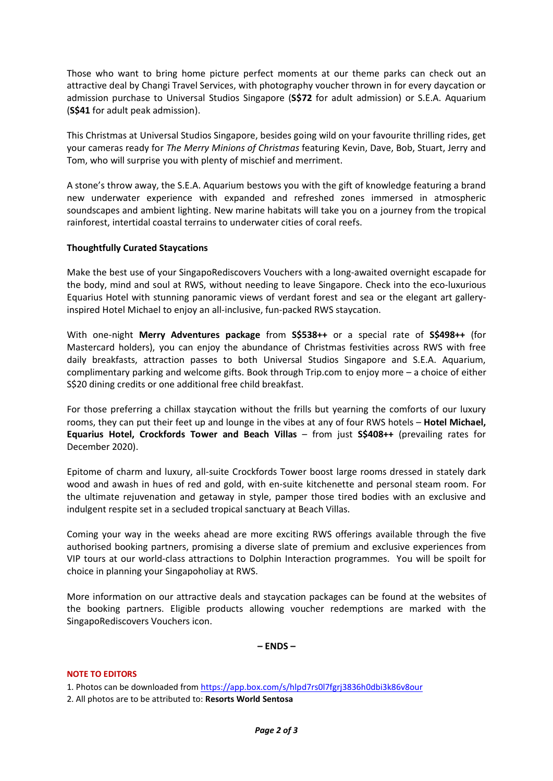Those who want to bring home picture perfect moments at our theme parks can check out an attractive deal by Changi Travel Services, with photography voucher thrown in for every daycation or admission purchase to Universal Studios Singapore (**S\$72** for adult admission) or S.E.A. Aquarium (**S\$41** for adult peak admission).

This Christmas at Universal Studios Singapore, besides going wild on your favourite thrilling rides, get your cameras ready for *The Merry Minions of Christmas* featuring Kevin, Dave, Bob, Stuart, Jerry and Tom, who will surprise you with plenty of mischief and merriment.

A stone's throw away, the S.E.A. Aquarium bestows you with the gift of knowledge featuring a brand new underwater experience with expanded and refreshed zones immersed in atmospheric soundscapes and ambient lighting. New marine habitats will take you on a journey from the tropical rainforest, intertidal coastal terrains to underwater cities of coral reefs.

## **Thoughtfully Curated Staycations**

Make the best use of your SingapoRediscovers Vouchers with a long-awaited overnight escapade for the body, mind and soul at RWS, without needing to leave Singapore. Check into the eco-luxurious Equarius Hotel with stunning panoramic views of verdant forest and sea or the elegant art galleryinspired Hotel Michael to enjoy an all-inclusive, fun-packed RWS staycation.

With one-night **Merry Adventures package** from **S\$538++** or a special rate of **S\$498++** (for Mastercard holders), you can enjoy the abundance of Christmas festivities across RWS with free daily breakfasts, attraction passes to both Universal Studios Singapore and S.E.A. Aquarium, complimentary parking and welcome gifts. Book through Trip.com to enjoy more – a choice of either S\$20 dining credits or one additional free child breakfast.

For those preferring a chillax staycation without the frills but yearning the comforts of our luxury rooms, they can put their feet up and lounge in the vibes at any of four RWS hotels – **Hotel Michael, Equarius Hotel, Crockfords Tower and Beach Villas** – from just **S\$408++** (prevailing rates for December 2020).

Epitome of charm and luxury, all-suite Crockfords Tower boost large rooms dressed in stately dark wood and awash in hues of red and gold, with en-suite kitchenette and personal steam room. For the ultimate rejuvenation and getaway in style, pamper those tired bodies with an exclusive and indulgent respite set in a secluded tropical sanctuary at Beach Villas.

Coming your way in the weeks ahead are more exciting RWS offerings available through the five authorised booking partners, promising a diverse slate of premium and exclusive experiences from VIP tours at our world-class attractions to Dolphin Interaction programmes. You will be spoilt for choice in planning your Singapoholiay at RWS.

More information on our attractive deals and staycation packages can be found at the websites of the booking partners. Eligible products allowing voucher redemptions are marked with the SingapoRediscovers Vouchers icon.

**– ENDS –**

## **NOTE TO EDITORS**

1. Photos can be downloaded from<https://app.box.com/s/hlpd7rs0l7fgrj3836h0dbi3k86v8our>

2. All photos are to be attributed to: **Resorts World Sentosa**